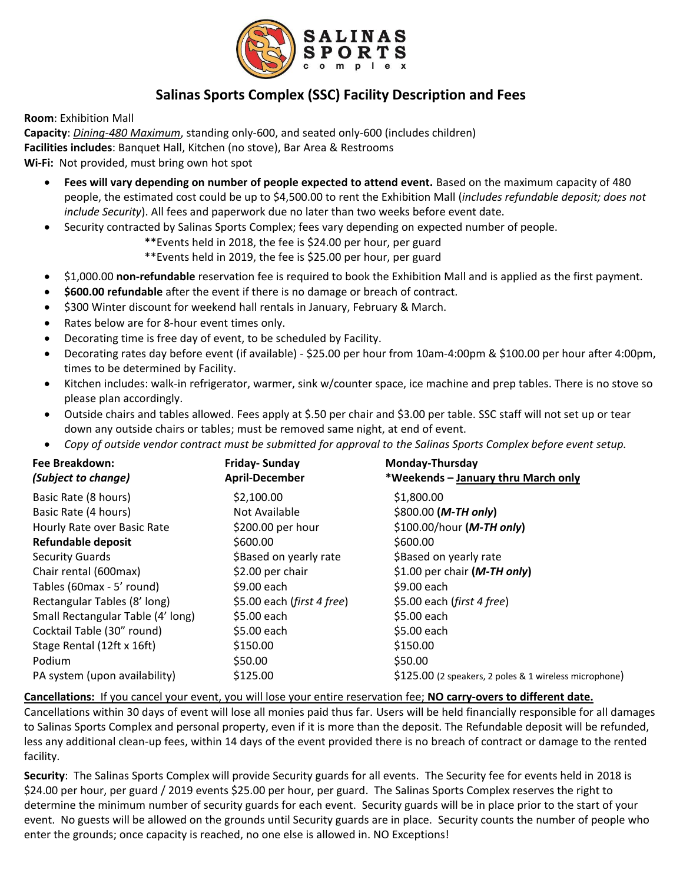

## **Salinas Sports Complex (SSC) Facility Description and Fees**

**Room**: Exhibition Mall

**Capacity**: *Dining-480 Maximum*, standing only-600, and seated only-600 (includes children) **Facilities includes**: Banquet Hall, Kitchen (no stove), Bar Area & Restrooms

**Wi-Fi:** Not provided, must bring own hot spot

- **Fees will vary depending on number of people expected to attend event.** Based on the maximum capacity of 480 people, the estimated cost could be up to \$4,500.00 to rent the Exhibition Mall (*includes refundable deposit; does not include Security*). All fees and paperwork due no later than two weeks before event date.
- Security contracted by Salinas Sports Complex; fees vary depending on expected number of people.
	- \*\*Events held in 2018, the fee is \$24.00 per hour, per guard
	- \*\*Events held in 2019, the fee is \$25.00 per hour, per guard
- \$1,000.00 **non-refundable** reservation fee is required to book the Exhibition Mall and is applied as the first payment.
- **\$600.00 refundable** after the event if there is no damage or breach of contract.
- \$300 Winter discount for weekend hall rentals in January, February & March.
- Rates below are for 8-hour event times only.
- Decorating time is free day of event, to be scheduled by Facility.
- Decorating rates day before event (if available) \$25.00 per hour from 10am-4:00pm & \$100.00 per hour after 4:00pm, times to be determined by Facility.
- Kitchen includes: walk-in refrigerator, warmer, sink w/counter space, ice machine and prep tables. There is no stove so please plan accordingly.
- Outside chairs and tables allowed. Fees apply at \$.50 per chair and \$3.00 per table. SSC staff will not set up or tear down any outside chairs or tables; must be removed same night, at end of event.
- *Copy of outside vendor contract must be submitted for approval to the Salinas Sports Complex before event setup.*

| Fee Breakdown:<br>(Subject to change) | Friday-Sunday<br><b>April-December</b> | Monday-Thursday<br>*Weekends - January thru March only |
|---------------------------------------|----------------------------------------|--------------------------------------------------------|
| Basic Rate (8 hours)                  | \$2,100.00                             | \$1,800.00                                             |
| Basic Rate (4 hours)                  | Not Available                          | $$800.00$ ( <i>M-TH only</i> )                         |
| Hourly Rate over Basic Rate           | \$200.00 per hour                      | $$100.00/hour$ ( <i>M-TH only</i> )                    |
| <b>Refundable deposit</b>             | \$600.00                               | \$600.00                                               |
| <b>Security Guards</b>                | \$Based on yearly rate                 | \$Based on yearly rate                                 |
| Chair rental (600max)                 | \$2.00 per chair                       | \$1.00 per chair $(M-TH)$ only)                        |
| Tables (60max - 5' round)             | \$9.00 each                            | \$9.00 each                                            |
| Rectangular Tables (8' long)          | \$5.00 each (first 4 free)             | \$5.00 each (first 4 free)                             |
| Small Rectangular Table (4' long)     | \$5.00 each                            | \$5.00 each                                            |
| Cocktail Table (30" round)            | \$5.00 each                            | \$5.00 each                                            |
| Stage Rental (12ft x 16ft)            | \$150.00                               | \$150.00                                               |
| Podium                                | \$50.00                                | \$50.00                                                |
| PA system (upon availability)         | \$125.00                               | \$125.00 (2 speakers, 2 poles & 1 wireless microphone) |
|                                       |                                        |                                                        |

**Cancellations:** If you cancel your event, you will lose your entire reservation fee; **NO carry-overs to different date.**

Cancellations within 30 days of event will lose all monies paid thus far. Users will be held financially responsible for all damages to Salinas Sports Complex and personal property, even if it is more than the deposit. The Refundable deposit will be refunded, less any additional clean-up fees, within 14 days of the event provided there is no breach of contract or damage to the rented facility.

**Security**: The Salinas Sports Complex will provide Security guards for all events. The Security fee for events held in 2018 is \$24.00 per hour, per guard / 2019 events \$25.00 per hour, per guard. The Salinas Sports Complex reserves the right to determine the minimum number of security guards for each event. Security guards will be in place prior to the start of your event. No guests will be allowed on the grounds until Security guards are in place. Security counts the number of people who enter the grounds; once capacity is reached, no one else is allowed in. NO Exceptions!